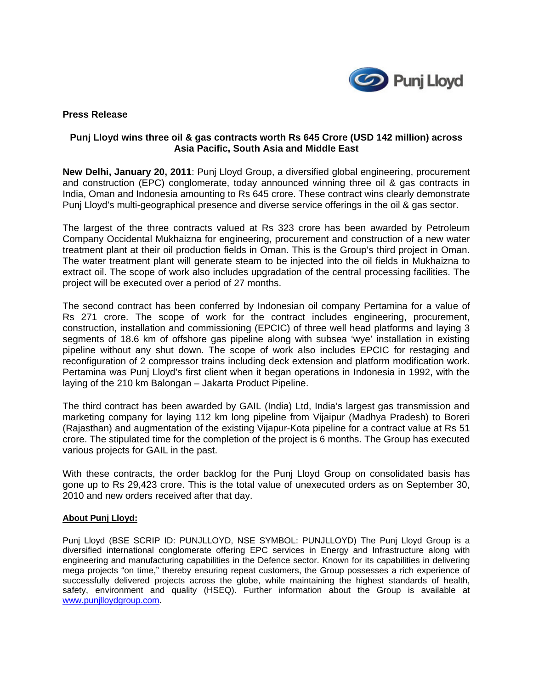

### **Press Release**

## **Punj Lloyd wins three oil & gas contracts worth Rs 645 Crore (USD 142 million) across Asia Pacific, South Asia and Middle East**

**New Delhi, January 20, 2011**: Punj Lloyd Group, a diversified global engineering, procurement and construction (EPC) conglomerate, today announced winning three oil & gas contracts in India, Oman and Indonesia amounting to Rs 645 crore. These contract wins clearly demonstrate Punj Lloyd's multi-geographical presence and diverse service offerings in the oil & gas sector.

The largest of the three contracts valued at Rs 323 crore has been awarded by Petroleum Company Occidental Mukhaizna for engineering, procurement and construction of a new water treatment plant at their oil production fields in Oman. This is the Group's third project in Oman. The water treatment plant will generate steam to be injected into the oil fields in Mukhaizna to extract oil. The scope of work also includes upgradation of the central processing facilities. The project will be executed over a period of 27 months.

The second contract has been conferred by Indonesian oil company Pertamina for a value of Rs 271 crore. The scope of work for the contract includes engineering, procurement, construction, installation and commissioning (EPCIC) of three well head platforms and laying 3 segments of 18.6 km of offshore gas pipeline along with subsea 'wye' installation in existing pipeline without any shut down. The scope of work also includes EPCIC for restaging and reconfiguration of 2 compressor trains including deck extension and platform modification work. Pertamina was Punj Lloyd's first client when it began operations in Indonesia in 1992, with the laying of the 210 km Balongan – Jakarta Product Pipeline.

The third contract has been awarded by GAIL (India) Ltd, India's largest gas transmission and marketing company for laying 112 km long pipeline from Vijaipur (Madhya Pradesh) to Boreri (Rajasthan) and augmentation of the existing Vijapur-Kota pipeline for a contract value at Rs 51 crore. The stipulated time for the completion of the project is 6 months. The Group has executed various projects for GAIL in the past.

With these contracts, the order backlog for the Punj Lloyd Group on consolidated basis has gone up to Rs 29,423 crore. This is the total value of unexecuted orders as on September 30, 2010 and new orders received after that day.

#### **About Punj Lloyd:**

Punj Lloyd (BSE SCRIP ID: PUNJLLOYD, NSE SYMBOL: PUNJLLOYD) The Punj Lloyd Group is a diversified international conglomerate offering EPC services in Energy and Infrastructure along with engineering and manufacturing capabilities in the Defence sector. Known for its capabilities in delivering mega projects "on time," thereby ensuring repeat customers, the Group possesses a rich experience of successfully delivered projects across the globe, while maintaining the highest standards of health, safety, environment and quality (HSEQ). Further information about the Group is available at www.punjlloydgroup.com.